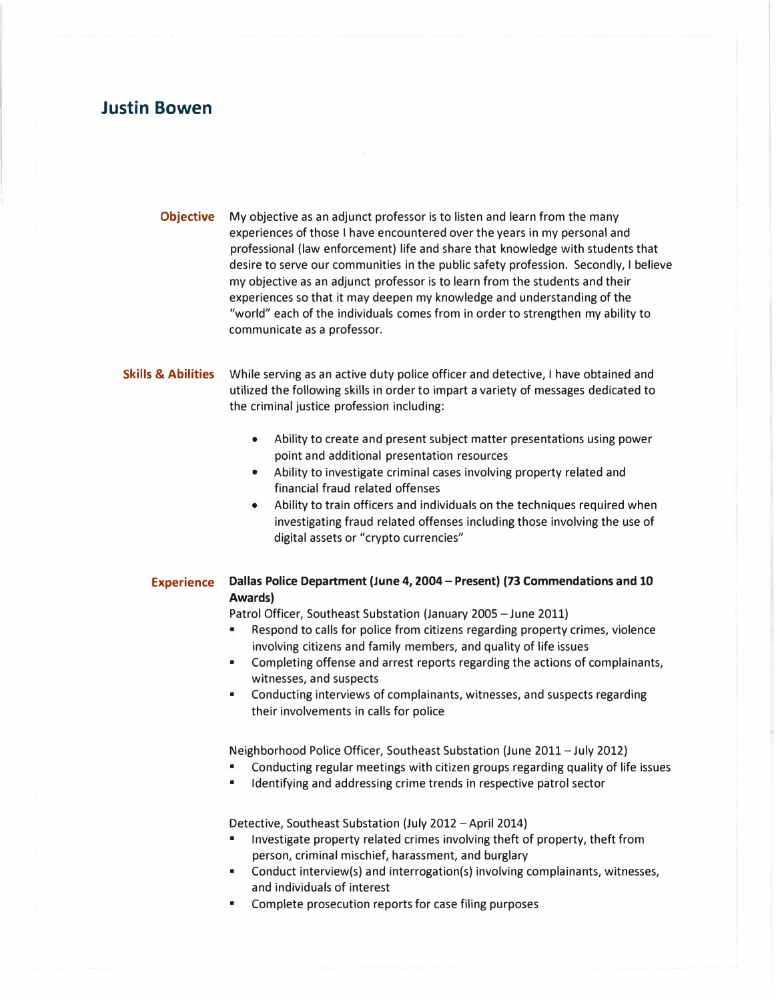# **Justin Bowen**

**Objective** My objective as an adjunct professor is to listen and learn from the many experiences of those I have encountered over the years in my personal and professional (law enforcement) life and share that knowledge with students that desire to serve our communities in the public safety profession. Secondly, I believe my objective as an adjunct professor is to learn from the students and their experiences so that it may deepen my knowledge and understanding of the "world" each of the individuals comes from in order to strengthen my ability to communicate as a professor.

### **Skills** & **Abilities** While serving as an active duty police officer and detective, I have obtained and utilized the following skills in order to impart a variety of messages dedicated to the criminal justice profession including:

- Ability to create and present subject matter presentations using power point and additional presentation resources
- Ability to investigate criminal cases involving property related and financial fraud related offenses
- Ability to train officers and individuals on the techniques required when investigating fraud related offenses including those involving the use of digital assets or "crypto currencies"

## **Experience Dallas Police Department (June 4, 2004 - Present) (73 Commendations and 10 Awards)**

Patrol Officer, Southeast Substation (January 2005 - June 2011)

- Respond to calls for police from citizens regarding property crimes, violence involving citizens and family members, and quality of life issues
- Completing offense and arrest reports regarding the actions of complainants, witnesses, and suspects
- Conducting interviews of complainants, witnesses, and suspects regarding their involvements in calls for police

Neighborhood Police Officer, Southeast Substation (June 2011-July 2012)

- Conducting regular meetings with citizen groups regarding quality of life issues
- Identifying and addressing crime trends in respective patrol sector

Detective, Southeast Substation (July 2012 -April 2014)

- Investigate property related crimes involving theft of property, theft from person, criminal mischief, harassment, and burglary
- Conduct interview(s) and interrogation(s) involving complainants, witnesses, and individuals of interest
- Complete prosecution reports for case filing purposes